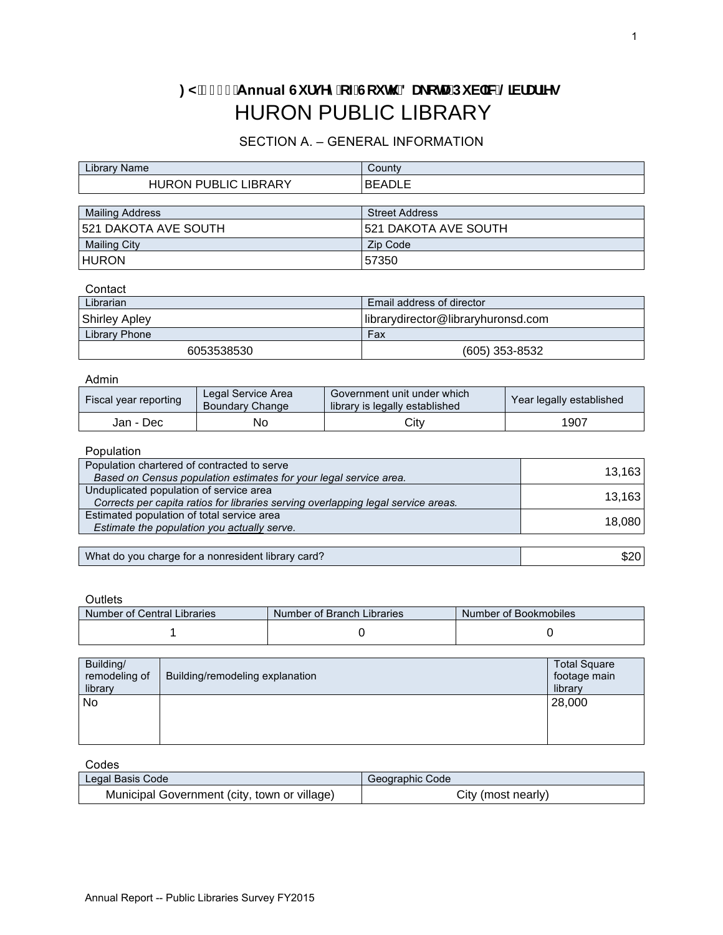# : M&\$% Annual Gi fj YmcZGci h 8U\_cHJDi V']W@VfUf]Yg HURON PUBLIC LIBRARY

## SECTION A. – GENERAL INFORMATION

| Library Name                | County                      |  |  |  |
|-----------------------------|-----------------------------|--|--|--|
| <b>HURON PUBLIC LIBRARY</b> | IBEADLE                     |  |  |  |
|                             |                             |  |  |  |
| <b>Mailing Address</b>      | <b>Street Address</b>       |  |  |  |
| 521 DAKOTA AVE SOUTH        | <b>521 DAKOTA AVE SOUTH</b> |  |  |  |
| <b>Mailing City</b>         | Zip Code                    |  |  |  |
| <b>HURON</b>                | 57350                       |  |  |  |

#### **Contact**

| Librarian            | Email address of director          |  |  |
|----------------------|------------------------------------|--|--|
| <b>Shirley Apley</b> | librarydirector@libraryhuronsd.com |  |  |
| Library Phone        | Fax                                |  |  |
| 6053538530           | $(605)$ 353-8532                   |  |  |

#### Admin

| <b>Fiscal year reporting</b> | Legal Service Area<br><b>Boundary Change</b> | Government unit under which<br>library is legally established | Year legally established |  |
|------------------------------|----------------------------------------------|---------------------------------------------------------------|--------------------------|--|
| Jan - Dec                    | No                                           | Citv                                                          | 1907                     |  |

#### Population

| Population chartered of contracted to serve                                       | 13,163 |
|-----------------------------------------------------------------------------------|--------|
| Based on Census population estimates for your legal service area.                 |        |
| Unduplicated population of service area                                           |        |
| Corrects per capita ratios for libraries serving overlapping legal service areas. | 13,163 |
| Estimated population of total service area                                        |        |
| Estimate the population you actually serve.                                       | 18,080 |
|                                                                                   |        |
| What do you charge for a nonresident library card?                                | \$20   |

| What do you charge for a nonresident library card? |  |
|----------------------------------------------------|--|
|----------------------------------------------------|--|

#### **Outlets**

| Number of Central Libraries | Number of Branch Libraries | Number of Bookmobiles |
|-----------------------------|----------------------------|-----------------------|
|                             |                            |                       |

| Building/<br>remodeling of<br>library | Building/remodeling explanation | <b>Total Square</b><br>footage main<br>library |
|---------------------------------------|---------------------------------|------------------------------------------------|
| No                                    |                                 | 28,000                                         |
|                                       |                                 |                                                |

#### Codes

| Legal Basis Code                             | Geographic Code    |
|----------------------------------------------|--------------------|
| Municipal Government (city, town or village) | City (most nearly) |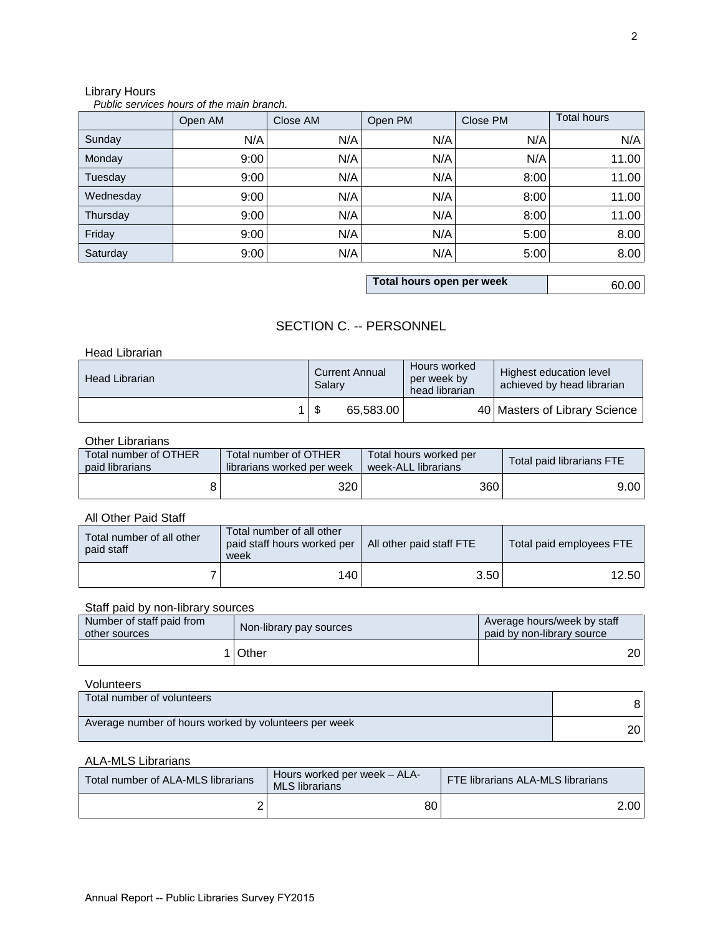## Library Hours

#### *Public services hours of the main branch.*

|           | Open AM | Close AM | Open PM | Close PM | <b>Total hours</b> |
|-----------|---------|----------|---------|----------|--------------------|
| Sunday    | N/A     | N/A      | N/A     | N/A      | N/A                |
| Monday    | 9:00    | N/A      | N/A     | N/A      | 11.00              |
| Tuesday   | 9:00    | N/A      | N/A     | 8:00     | 11.00              |
| Wednesday | 9:00    | N/A      | N/A     | 8:00     | 11.00              |
| Thursday  | 9:00    | N/A      | N/A     | 8:00     | 11.00              |
| Friday    | 9:00    | N/A      | N/A     | 5:00     | 8.00               |
| Saturday  | 9:00    | N/A      | N/A     | 5:00     | 8.00               |

**Total hours open per week** 60.00

## SECTION C. -- PERSONNEL

#### Head Librarian

| Head Librarian | <b>Current Annual</b><br>Salarv |           | Hours worked<br>per week by<br>head librarian | Highest education level<br>achieved by head librarian |  |
|----------------|---------------------------------|-----------|-----------------------------------------------|-------------------------------------------------------|--|
|                |                                 | 65,583.00 |                                               | 40   Masters of Library Science                       |  |

#### Other Librarians

| Total number of OTHER | Total number of OTHER      | Total hours worked per | Total paid librarians FTE |  |
|-----------------------|----------------------------|------------------------|---------------------------|--|
| paid librarians       | librarians worked per week | week-ALL librarians    |                           |  |
|                       | 320                        | 360                    | 9.00 l                    |  |

#### All Other Paid Staff

|                                                                                                                                  |            |                                                                                      | \$                          | 65,583.00                                     |  |      |      | 40 Masters of Library Science |       |
|----------------------------------------------------------------------------------------------------------------------------------|------------|--------------------------------------------------------------------------------------|-----------------------------|-----------------------------------------------|--|------|------|-------------------------------|-------|
| <b>Other Librarians</b>                                                                                                          |            |                                                                                      |                             |                                               |  |      |      |                               |       |
| Total number of OTHER<br>paid librarians                                                                                         |            | Total number of OTHER                                                                | librarians worked per week  | Total hours worked per<br>week-ALL librarians |  |      |      | Total paid librarians FTE     |       |
| 8                                                                                                                                |            |                                                                                      | 320                         |                                               |  | 360  |      |                               | 9.00  |
| All Other Paid Staff                                                                                                             |            |                                                                                      |                             |                                               |  |      |      |                               |       |
| Total number of all other<br>paid staff                                                                                          | week       | Total number of all other                                                            | paid staff hours worked per | All other paid staff FTE                      |  |      |      | Total paid employees FTE      |       |
|                                                                                                                                  |            |                                                                                      | 140                         |                                               |  | 3.50 |      |                               | 12.50 |
| Staff paid by non-library sources                                                                                                |            |                                                                                      |                             |                                               |  |      |      |                               |       |
| Number of staff paid from<br>other sources                                                                                       |            | Average hours/week by staff<br>Non-library pay sources<br>paid by non-library source |                             |                                               |  |      |      |                               |       |
|                                                                                                                                  | Other<br>1 |                                                                                      |                             |                                               |  |      |      |                               | 20    |
| Volunteers                                                                                                                       |            |                                                                                      |                             |                                               |  |      |      |                               |       |
| Total number of volunteers                                                                                                       |            |                                                                                      |                             |                                               |  |      |      |                               | 8     |
| Average number of hours worked by volunteers per week                                                                            |            |                                                                                      |                             |                                               |  | 20   |      |                               |       |
| <b>ALA-MLS Librarians</b>                                                                                                        |            |                                                                                      |                             |                                               |  |      |      |                               |       |
| Hours worked per week - ALA-<br>Total number of ALA-MLS librarians<br>FTE librarians ALA-MLS librarians<br><b>MLS librarians</b> |            |                                                                                      |                             |                                               |  |      |      |                               |       |
| 2<br>80                                                                                                                          |            |                                                                                      |                             |                                               |  |      | 2.00 |                               |       |

## Staff paid by non-library sources

| Number of staff paid from<br>other sources | Non-library pay sources | Average hours/week by staff<br>paid by non-library source |
|--------------------------------------------|-------------------------|-----------------------------------------------------------|
|                                            | 1 I Other               | 20 I                                                      |

#### Volunteers

| 1 Other                                               | 20 <sub>1</sub> |
|-------------------------------------------------------|-----------------|
| Volunteers                                            |                 |
| Total number of volunteers                            | 8               |
| Average number of hours worked by volunteers per week | 20 <sub>1</sub> |

#### ALA-MLS Librarians

| Total number of ALA-MLS librarians | Hours worked per week - ALA-<br><b>MLS</b> librarians | <b>FTE librarians ALA-MLS librarians</b> |                   |
|------------------------------------|-------------------------------------------------------|------------------------------------------|-------------------|
|                                    | 80                                                    |                                          | 2.00 <sub>1</sub> |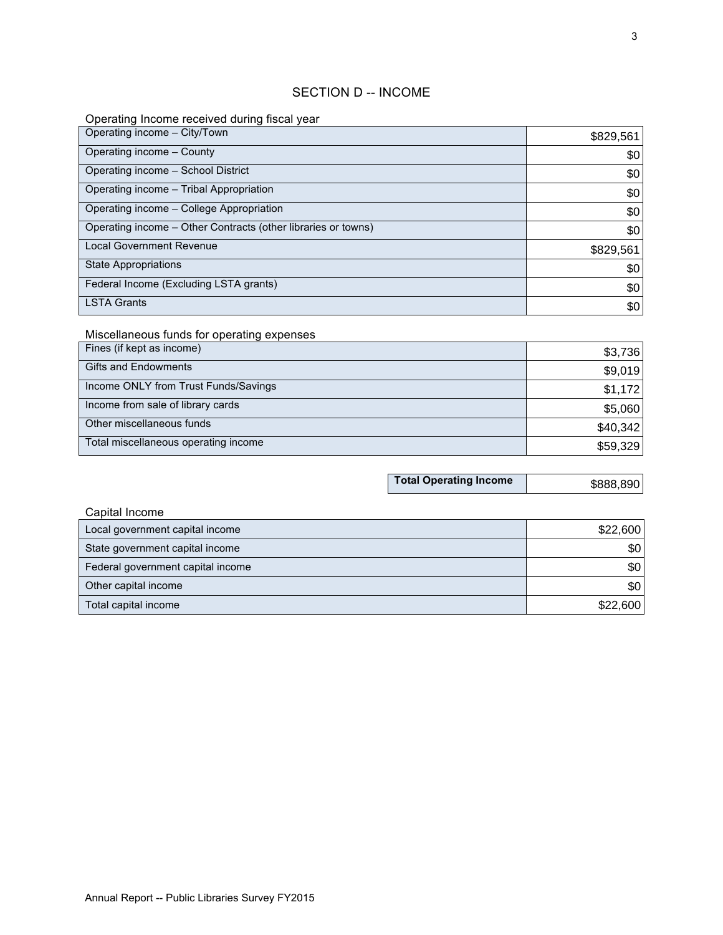## SECTION D -- INCOME

## Operating Income received during fiscal year

| Operating income - City/Town                                  | \$829,561 |
|---------------------------------------------------------------|-----------|
| Operating income - County                                     | \$0       |
| Operating income - School District                            | \$0       |
| Operating income - Tribal Appropriation                       | \$0       |
| Operating income - College Appropriation                      | \$0       |
| Operating income – Other Contracts (other libraries or towns) | \$0       |
| <b>Local Government Revenue</b>                               | \$829,561 |
| <b>State Appropriations</b>                                   | \$0       |
| Federal Income (Excluding LSTA grants)                        | \$0       |
| <b>LSTA Grants</b>                                            | \$0       |

## Miscellaneous funds for operating expenses

| Fines (if kept as income)            | \$3,736  |
|--------------------------------------|----------|
| <b>Gifts and Endowments</b>          | \$9,019  |
| Income ONLY from Trust Funds/Savings | \$1,172  |
| Income from sale of library cards    | \$5,060  |
| Other miscellaneous funds            | \$40,342 |
| Total miscellaneous operating income | \$59,329 |

| <b>Total Operating Income</b> | \$888,890 |
|-------------------------------|-----------|
|-------------------------------|-----------|

| Capital Income                    |          |
|-----------------------------------|----------|
| Local government capital income   | \$22,600 |
| State government capital income   | \$0      |
| Federal government capital income | \$0      |
| Other capital income              | \$0      |
| Total capital income              | \$22,600 |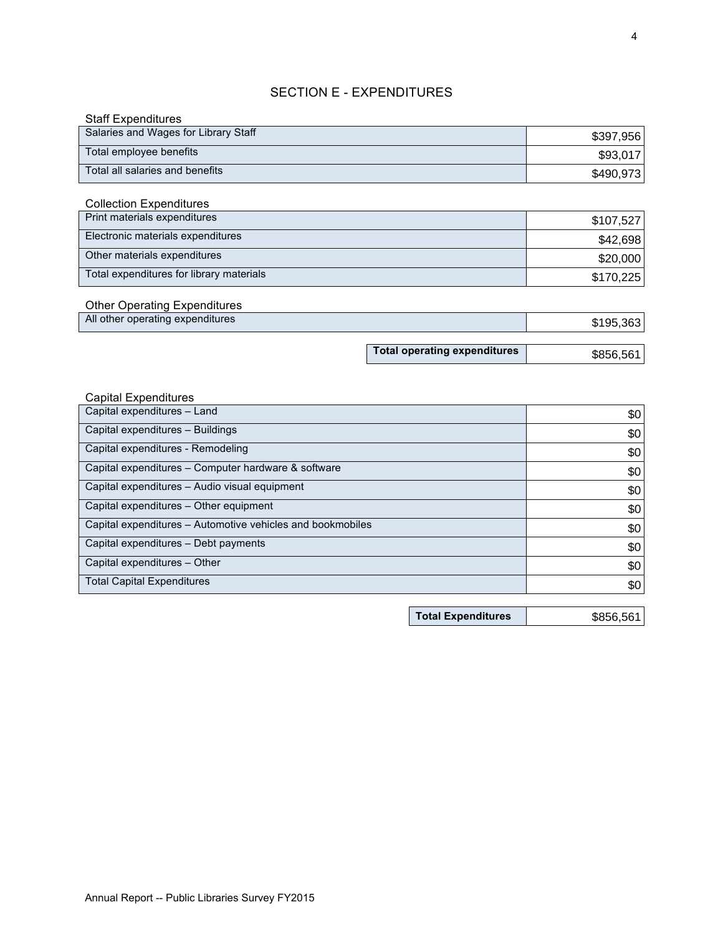## SECTION E - EXPENDITURES

| <b>Staff Expenditures</b>            |           |
|--------------------------------------|-----------|
| Salaries and Wages for Library Staff | \$397,956 |
| Total employee benefits              | \$93,017  |
| Total all salaries and benefits      | \$490,973 |

#### Collection Expenditures

| Print materials expenditures             | \$107,527 |
|------------------------------------------|-----------|
| Electronic materials expenditures        | \$42,698  |
| Other materials expenditures             | \$20,000  |
| Total expenditures for library materials | \$170,225 |

#### Other Operating Expenditures All other operating expenditures

| \$195,363 |
|-----------|

**Total operating expenditures**

#### Capital Expenditures

|                                                            | Total operating expenditures | \$856,561 |
|------------------------------------------------------------|------------------------------|-----------|
|                                                            |                              |           |
| <b>Capital Expenditures</b>                                |                              |           |
| Capital expenditures - Land                                |                              | \$0       |
| Capital expenditures - Buildings                           |                              | \$0       |
| Capital expenditures - Remodeling                          |                              | \$0       |
| Capital expenditures - Computer hardware & software        |                              | \$0       |
| Capital expenditures - Audio visual equipment              |                              | \$0       |
| Capital expenditures – Other equipment                     |                              | \$0       |
| Capital expenditures - Automotive vehicles and bookmobiles |                              | \$0       |
| Capital expenditures – Debt payments                       |                              | \$0       |
| Capital expenditures – Other                               |                              | \$0       |
| <b>Total Capital Expenditures</b>                          |                              | \$0       |

**Total Expenditures** \$856,561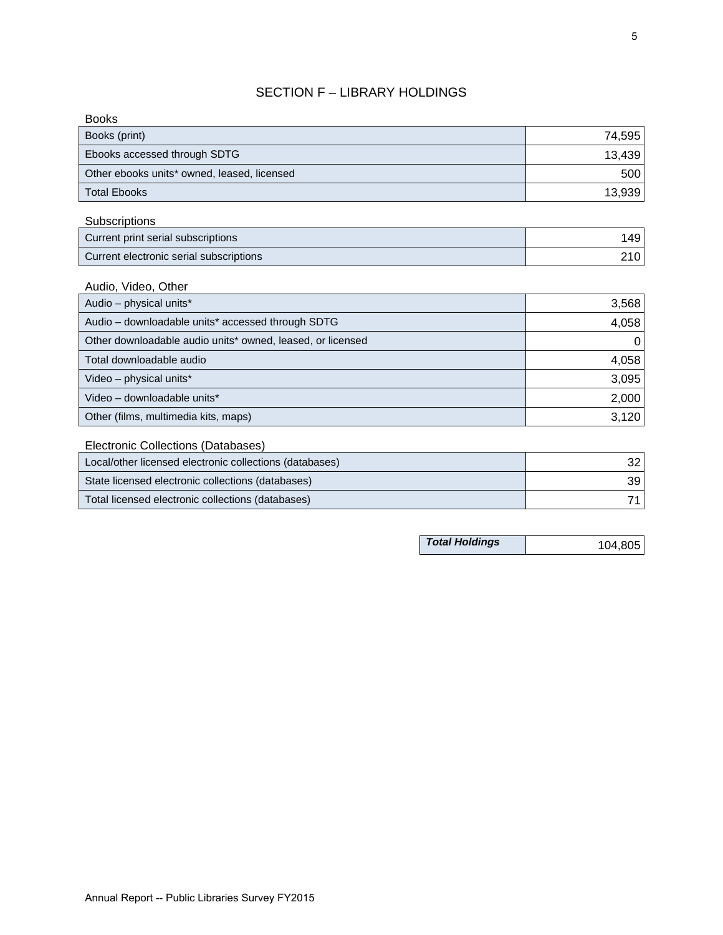## SECTION F – LIBRARY HOLDINGS

| <b>Books</b>                                |        |
|---------------------------------------------|--------|
| Books (print)                               | 74,595 |
| Ebooks accessed through SDTG                | 13,439 |
| Other ebooks units* owned, leased, licensed | 500    |
| Total Ebooks                                | 13,939 |

**Subscriptions** 

| Current print serial subscriptions      | 1491             |
|-----------------------------------------|------------------|
| Current electronic serial subscriptions | 210 <sup>1</sup> |

Audio, Video, Other

| Audio - physical units*                                    | 3,568    |
|------------------------------------------------------------|----------|
| Audio - downloadable units* accessed through SDTG          | 4,058    |
| Other downloadable audio units* owned, leased, or licensed | $\Omega$ |
| Total downloadable audio                                   | 4,058    |
| Video - physical units*                                    | 3,095    |
| Video - downloadable units*                                | 2,000    |
| Other (films, multimedia kits, maps)                       | 3,120    |

## Electronic Collections (Databases)

| Other (films, multimedia kits, maps)                    | 3,120 |
|---------------------------------------------------------|-------|
| Electronic Collections (Databases)                      |       |
| Local/other licensed electronic collections (databases) | 32 I  |
| State licensed electronic collections (databases)       | 39 I  |
| Total licensed electronic collections (databases)       | 71 I  |

*Total Holdings* 104,805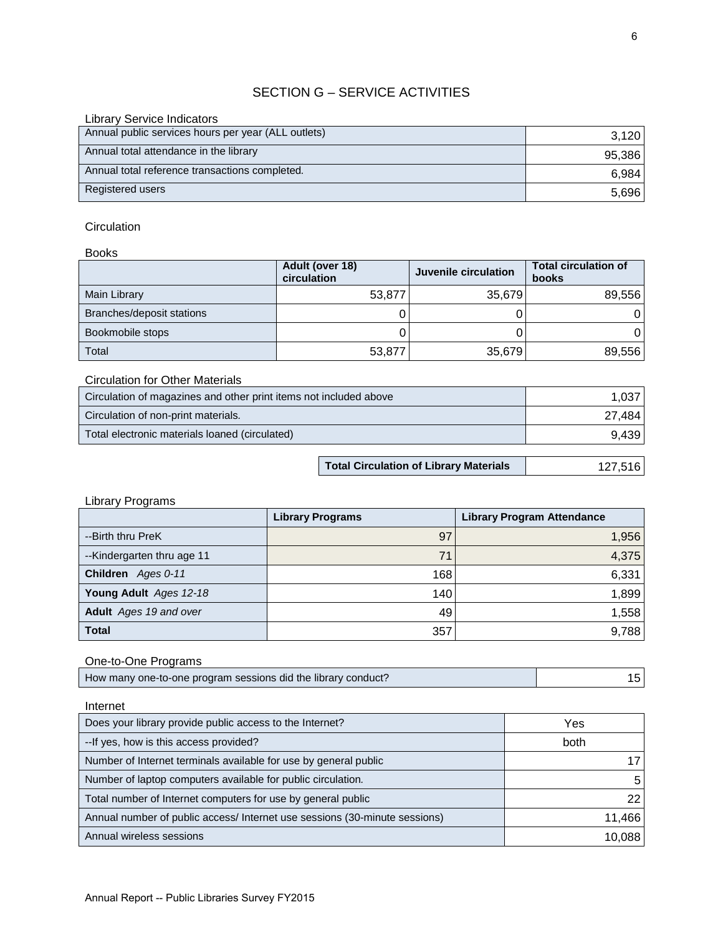## SECTION G – SERVICE ACTIVITIES

| <b>Library Service Indicators</b>                   |        |
|-----------------------------------------------------|--------|
| Annual public services hours per year (ALL outlets) | 3,120  |
| Annual total attendance in the library              | 95,386 |
| Annual total reference transactions completed.      | 6,984  |
| Registered users                                    | 5,696  |

#### **Circulation**

Books

|                           | Adult (over 18)<br>circulation | Juvenile circulation | <b>Total circulation of</b><br>books |
|---------------------------|--------------------------------|----------------------|--------------------------------------|
| Main Library              | 53,877                         | 35,679               | 89,556                               |
| Branches/deposit stations |                                |                      |                                      |
| Bookmobile stops          |                                |                      |                                      |
| Total                     | 53,877                         | 35,679               | 89,556                               |

Circulation for Other Materials

| Circulation of magazines and other print items not included above | 1.037  |
|-------------------------------------------------------------------|--------|
| Circulation of non-print materials.                               | 27.484 |
| Total electronic materials loaned (circulated)                    | 9,439  |
|                                                                   |        |

**Total Circulation of Library Materials** 127,516

## Library Programs

|                            | <b>Library Programs</b> | <b>Library Program Attendance</b> |
|----------------------------|-------------------------|-----------------------------------|
| --Birth thru PreK          | 97                      | 1,956                             |
| --Kindergarten thru age 11 | 71                      | 4,375                             |
| Children Ages 0-11         | 168                     | 6,331                             |
| Young Adult Ages 12-18     | 140                     | 1,899                             |
| Adult Ages 19 and over     | 49                      | 1,558                             |
| <b>Total</b>               | 357                     | 9,788                             |

## One-to-One Programs

| <b>Total</b>                                                  | 357 | 9.788 |
|---------------------------------------------------------------|-----|-------|
| One-to-One Programs                                           |     |       |
| How many one-to-one program sessions did the library conduct? |     | 151   |

| Internet                                                                   |                 |
|----------------------------------------------------------------------------|-----------------|
| Does your library provide public access to the Internet?                   | Yes             |
| -- If yes, how is this access provided?                                    | <b>both</b>     |
| Number of Internet terminals available for use by general public           |                 |
| Number of laptop computers available for public circulation.               | 5               |
| Total number of Internet computers for use by general public               | 22 <sub>1</sub> |
| Annual number of public access/ Internet use sessions (30-minute sessions) | 11,466          |
| Annual wireless sessions                                                   | 10,088          |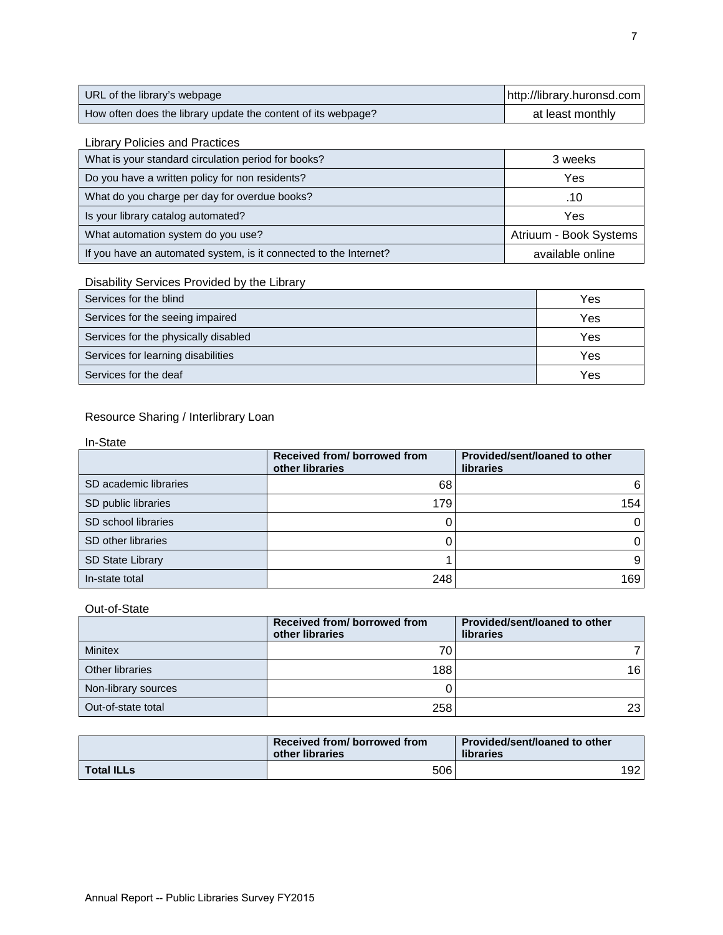| URL of the library's webpage                                  | http://library.huronsd.com |
|---------------------------------------------------------------|----------------------------|
| How often does the library update the content of its webpage? | at least monthly           |

## Library Policies and Practices

| What is your standard circulation period for books?               | 3 weeks                |
|-------------------------------------------------------------------|------------------------|
| Do you have a written policy for non residents?                   | Yes                    |
| What do you charge per day for overdue books?                     | .10                    |
| Is your library catalog automated?                                | Yes                    |
| What automation system do you use?                                | Atriuum - Book Systems |
| If you have an automated system, is it connected to the Internet? | available online       |

## Disability Services Provided by the Library

| Services for the blind               | Yes |
|--------------------------------------|-----|
| Services for the seeing impaired     | Yes |
| Services for the physically disabled | Yes |
| Services for learning disabilities   | Yes |
| Services for the deaf                | Yes |

## Resource Sharing / Interlibrary Loan

| In-State |
|----------|
|----------|

|                         | Received from/borrowed from<br>other libraries | Provided/sent/loaned to other<br><b>libraries</b> |
|-------------------------|------------------------------------------------|---------------------------------------------------|
| SD academic libraries   | 68                                             | 6                                                 |
| SD public libraries     | 179                                            | 154                                               |
| SD school libraries     |                                                |                                                   |
| SD other libraries      |                                                |                                                   |
| <b>SD State Library</b> |                                                |                                                   |
| In-state total          | 248                                            | 169                                               |

#### Out-of-State

|                     | Received from/borrowed from<br>other libraries | Provided/sent/loaned to other<br><b>libraries</b> |
|---------------------|------------------------------------------------|---------------------------------------------------|
| <b>Minitex</b>      | 70                                             |                                                   |
| Other libraries     | 188                                            | 161                                               |
| Non-library sources |                                                |                                                   |
| Out-of-state total  | 258                                            | 23 I                                              |

|                   | Received from/ borrowed from<br>other libraries | Provided/sent/loaned to other<br>libraries |
|-------------------|-------------------------------------------------|--------------------------------------------|
| <b>Total ILLs</b> | 506                                             | 192.                                       |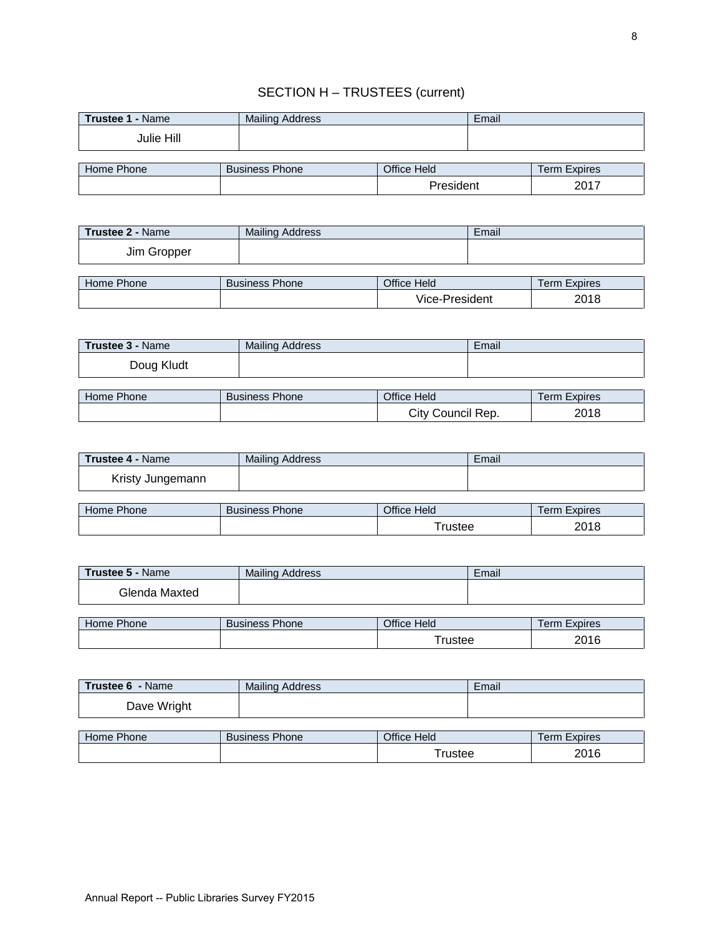## SECTION H – TRUSTEES (current)

| <b>Trustee 1 - Name</b> | Mailing Address       |             | Email |                     |
|-------------------------|-----------------------|-------------|-------|---------------------|
| Julie Hill              |                       |             |       |                     |
|                         |                       |             |       |                     |
| Home Phone              | <b>Business Phone</b> | Office Held |       | <b>Term Expires</b> |
|                         |                       | President   |       | 2017                |

| <b>Trustee 2 - Name</b> | <b>Mailing Address</b> |                | Email |                     |
|-------------------------|------------------------|----------------|-------|---------------------|
| Jim Gropper             |                        |                |       |                     |
|                         |                        |                |       |                     |
| Home Phone              | <b>Business Phone</b>  | Office Held    |       | <b>Term Expires</b> |
|                         |                        | Vice-President |       | 2018                |

| <b>Trustee 3 - Name</b> | <b>Mailing Address</b> |                   | Email |                     |
|-------------------------|------------------------|-------------------|-------|---------------------|
| Doug Kludt              |                        |                   |       |                     |
|                         |                        |                   |       |                     |
| Home Phone              | <b>Business Phone</b>  | Office Held       |       | <b>Term Expires</b> |
|                         |                        | City Council Rep. |       | 2018                |

| <b>Trustee 4 - Name</b> | Mailing Address       |             | Email |                     |
|-------------------------|-----------------------|-------------|-------|---------------------|
| Kristy Jungemann        |                       |             |       |                     |
|                         |                       |             |       |                     |
| Home Phone              | <b>Business Phone</b> | Office Held |       | <b>Term Expires</b> |
|                         |                       | Trustee     |       | 2018                |

| <b>Trustee 5 - Name</b> | <b>Mailing Address</b> |             | Email |                     |
|-------------------------|------------------------|-------------|-------|---------------------|
| Glenda Maxted           |                        |             |       |                     |
|                         |                        |             |       |                     |
| Home Phone              | <b>Business Phone</b>  | Office Held |       | <b>Term Expires</b> |
|                         |                        | $r$ rustee  |       | 2016                |

| Trustee 6 - Name | <b>Mailing Address</b> |             | Email |                     |
|------------------|------------------------|-------------|-------|---------------------|
| Dave Wright      |                        |             |       |                     |
|                  |                        |             |       |                     |
| Home Phone       | <b>Business Phone</b>  | Office Held |       | <b>Term Expires</b> |

Trustee 2016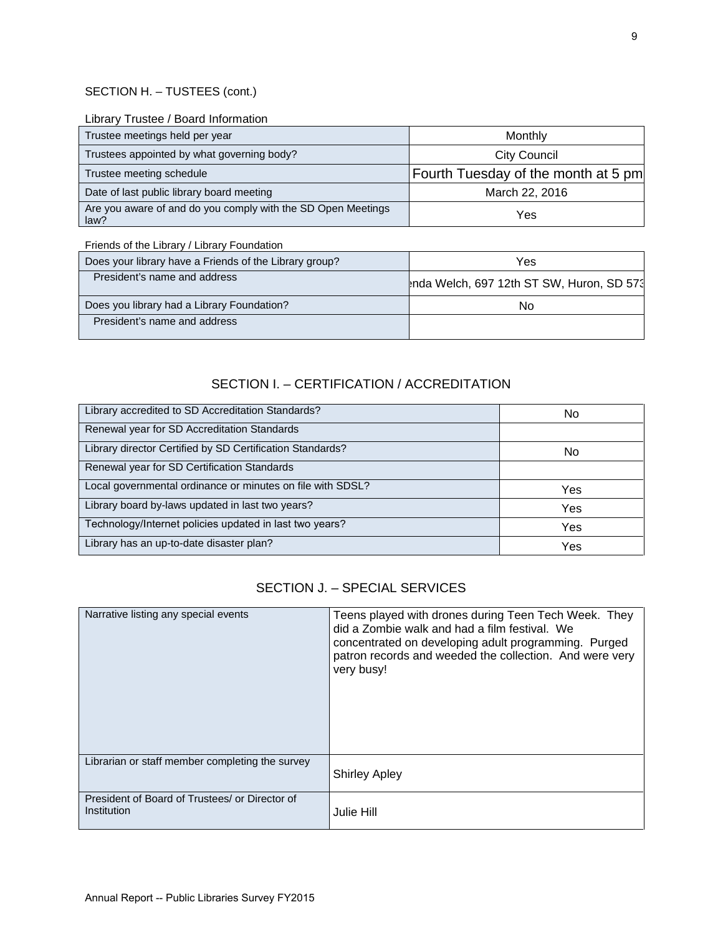## SECTION H. – TUSTEES (cont.)

#### Library Trustee / Board Information

| Trustee meetings held per year                                       | Monthly                             |
|----------------------------------------------------------------------|-------------------------------------|
| Trustees appointed by what governing body?                           | City Council                        |
| Trustee meeting schedule                                             | Fourth Tuesday of the month at 5 pm |
| Date of last public library board meeting                            | March 22, 2016                      |
| Are you aware of and do you comply with the SD Open Meetings<br>law? | Yes                                 |

Friends of the Library / Library Foundation

| Does your library have a Friends of the Library group? | Yes                                       |
|--------------------------------------------------------|-------------------------------------------|
| President's name and address                           | Inda Welch, 697 12th ST SW, Huron, SD 573 |
| Does you library had a Library Foundation?             | No                                        |
| President's name and address                           |                                           |

## SECTION I. – CERTIFICATION / ACCREDITATION

| Library accredited to SD Accreditation Standards?          | No  |
|------------------------------------------------------------|-----|
| Renewal year for SD Accreditation Standards                |     |
| Library director Certified by SD Certification Standards?  | No  |
| Renewal year for SD Certification Standards                |     |
| Local governmental ordinance or minutes on file with SDSL? | Yes |
| Library board by-laws updated in last two years?           | Yes |
| Technology/Internet policies updated in last two years?    | Yes |
| Library has an up-to-date disaster plan?                   | Yes |

## SECTION J. – SPECIAL SERVICES

| Narrative listing any special events                          | Teens played with drones during Teen Tech Week. They<br>did a Zombie walk and had a film festival. We<br>concentrated on developing adult programming. Purged<br>patron records and weeded the collection. And were very<br>very busy! |
|---------------------------------------------------------------|----------------------------------------------------------------------------------------------------------------------------------------------------------------------------------------------------------------------------------------|
| Librarian or staff member completing the survey               | <b>Shirley Apley</b>                                                                                                                                                                                                                   |
| President of Board of Trustees/ or Director of<br>Institution | Julie Hill                                                                                                                                                                                                                             |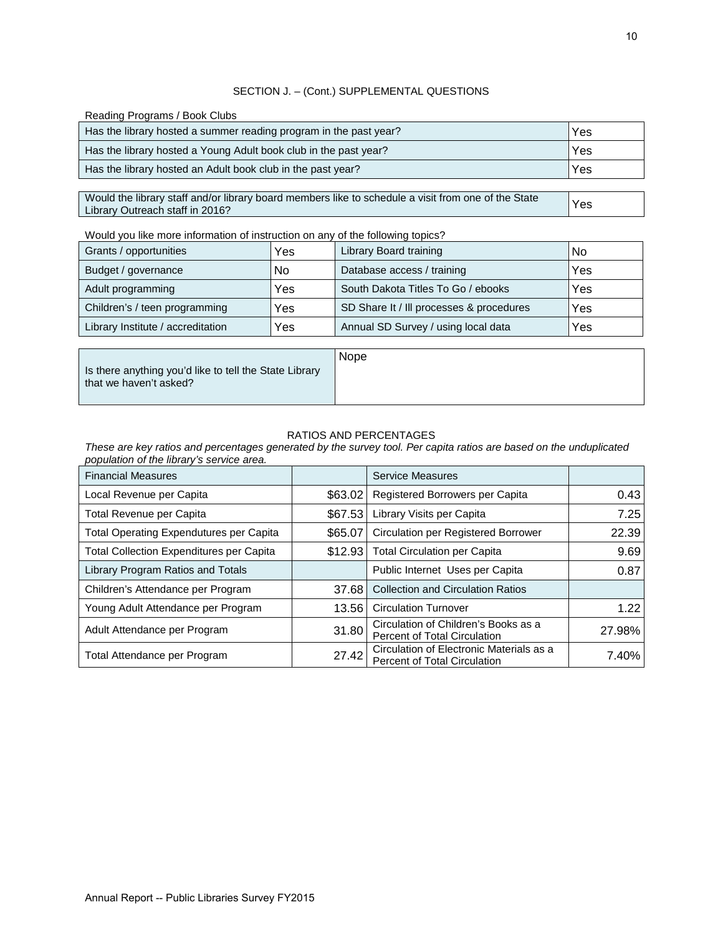#### SECTION J. – (Cont.) SUPPLEMENTAL QUESTIONS

Reading Programs / Book Clubs

| Yes |
|-----|
| Yes |
| Yes |
|     |

Would the library staff and/or library board members like to schedule a visit from one of the State Library Outreach staff in 2016? Yes

Would you like more information of instruction on any of the following topics?

| Grants / opportunities            | Yes | Library Board training                   | No  |
|-----------------------------------|-----|------------------------------------------|-----|
| Budget / governance               | No  | Database access / training               | Yes |
| Adult programming                 | Yes | South Dakota Titles To Go / ebooks       | Yes |
| Children's / teen programming     | Yes | SD Share It / Ill processes & procedures | Yes |
| Library Institute / accreditation | Yes | Annual SD Survey / using local data      | Yes |

Is there anything you'd like to tell the State Library that we haven't asked?

Nope

#### RATIOS AND PERCENTAGES

*These are key ratios and percentages generated by the survey tool. Per capita ratios are based on the unduplicated population of the library's service area.*

| <b>Financial Measures</b>                       |         | Service Measures                                                                |        |
|-------------------------------------------------|---------|---------------------------------------------------------------------------------|--------|
| Local Revenue per Capita                        | \$63.02 | Registered Borrowers per Capita                                                 | 0.43   |
| Total Revenue per Capita                        | \$67.53 | Library Visits per Capita                                                       | 7.25   |
| <b>Total Operating Expendutures per Capita</b>  | \$65.07 | <b>Circulation per Registered Borrower</b>                                      | 22.39  |
| <b>Total Collection Expenditures per Capita</b> | \$12.93 | <b>Total Circulation per Capita</b>                                             | 9.69   |
| Library Program Ratios and Totals               |         | Public Internet Uses per Capita                                                 | 0.87   |
| Children's Attendance per Program               | 37.68   | <b>Collection and Circulation Ratios</b>                                        |        |
| Young Adult Attendance per Program              | 13.56   | <b>Circulation Turnover</b>                                                     | 1.22   |
| Adult Attendance per Program                    | 31.80   | Circulation of Children's Books as a<br><b>Percent of Total Circulation</b>     | 27.98% |
| Total Attendance per Program                    | 27.42   | Circulation of Electronic Materials as a<br><b>Percent of Total Circulation</b> | 7.40%  |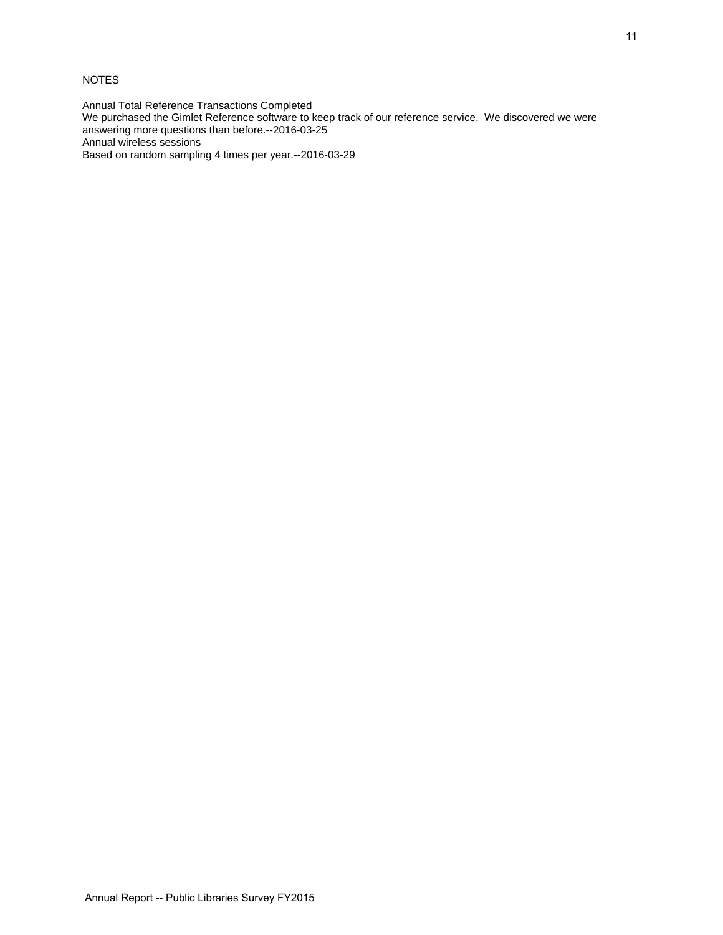### NOTES

Annual Total Reference Transactions Completed

We purchased the Gimlet Reference software to keep track of our reference service. We discovered we were answering more questions than before.--2016-03-25

Annual wireless sessions

Based on random sampling 4 times per year.--2016-03-29